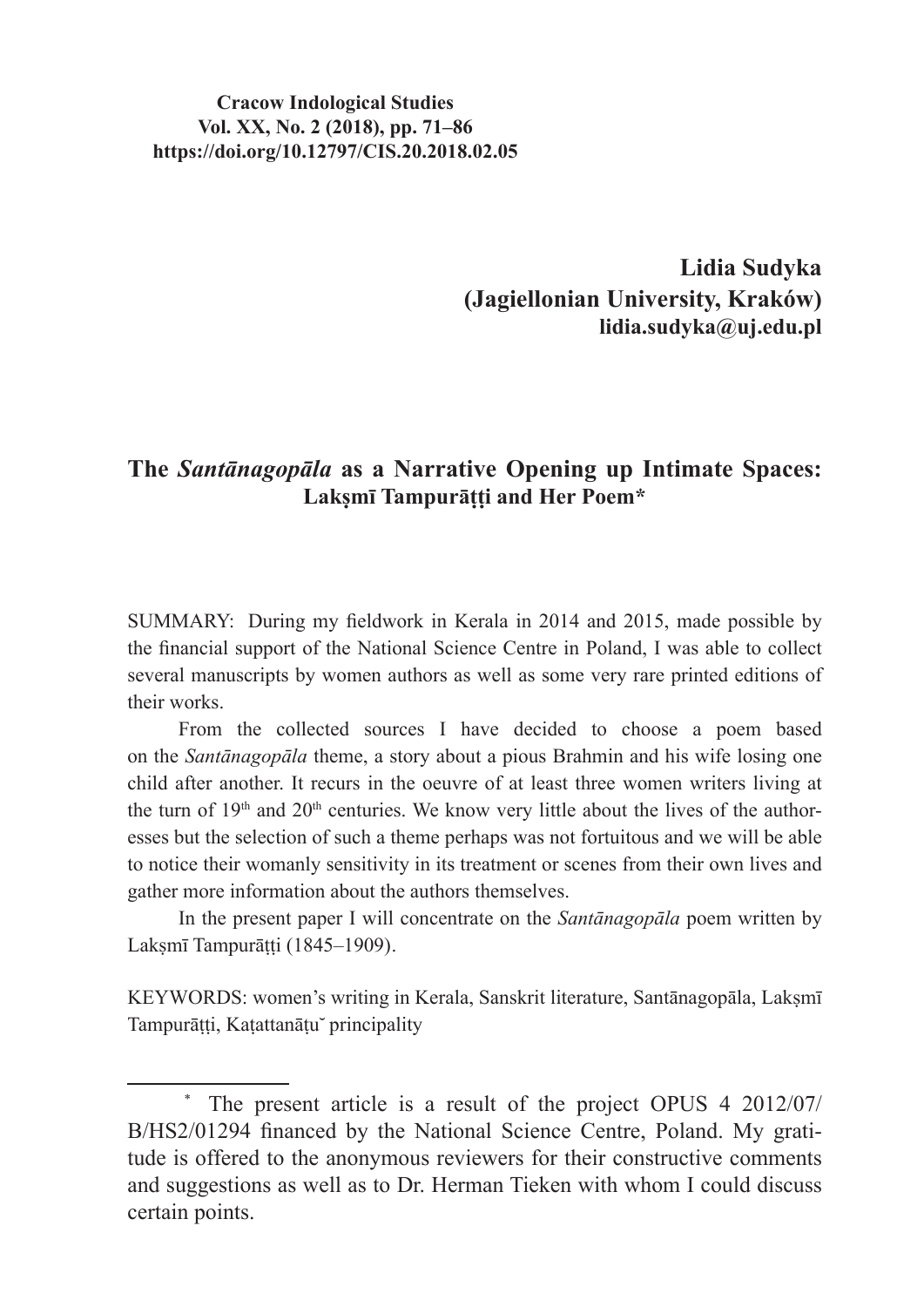#### **Cracow Indological Studies Vol. XX, No. 2 (2018), pp. 71–86 https://doi.org/10.12797/CIS.20.2018.02.05**

**Lidia Sudyka (Jagiellonian University, Kraków) lidia.sudyka@uj.edu.pl**

#### **The** *Santānagopāla* **as a Narrative Opening up Intimate Spaces: Lakṣmī Tampurāṭṭi and Her Poem\***

SUMMARY: During my fieldwork in Kerala in 2014 and 2015, made possible by the financial support of the National Science Centre in Poland, I was able to collect several manuscripts by women authors as well as some very rare printed editions of their works.

From the collected sources I have decided to choose a poem based on the *Santānagopāla* theme, a story about a pious Brahmin and his wife losing one child after another. It recurs in the oeuvre of at least three women writers living at the turn of  $19<sup>th</sup>$  and  $20<sup>th</sup>$  centuries. We know very little about the lives of the authoresses but the selection of such a theme perhaps was not fortuitous and we will be able to notice their womanly sensitivity in its treatment or scenes from their own lives and gather more information about the authors themselves.

In the present paper I will concentrate on the *Santānagopāla* poem written by Laksmī Tampurātti (1845–1909).

KEYWORDS: women's writing in Kerala, Sanskrit literature, Santānagopāla, Lakṣmī Tampurāṭṭi, Kaṭattanāṭu principality

The present article is a result of the project OPUS 4 2012/07/ B/HS2/01294 financed by the National Science Centre, Poland. My gratitude is offered to the anonymous reviewers for their constructive comments and suggestions as well as to Dr. Herman Tieken with whom I could discuss certain points.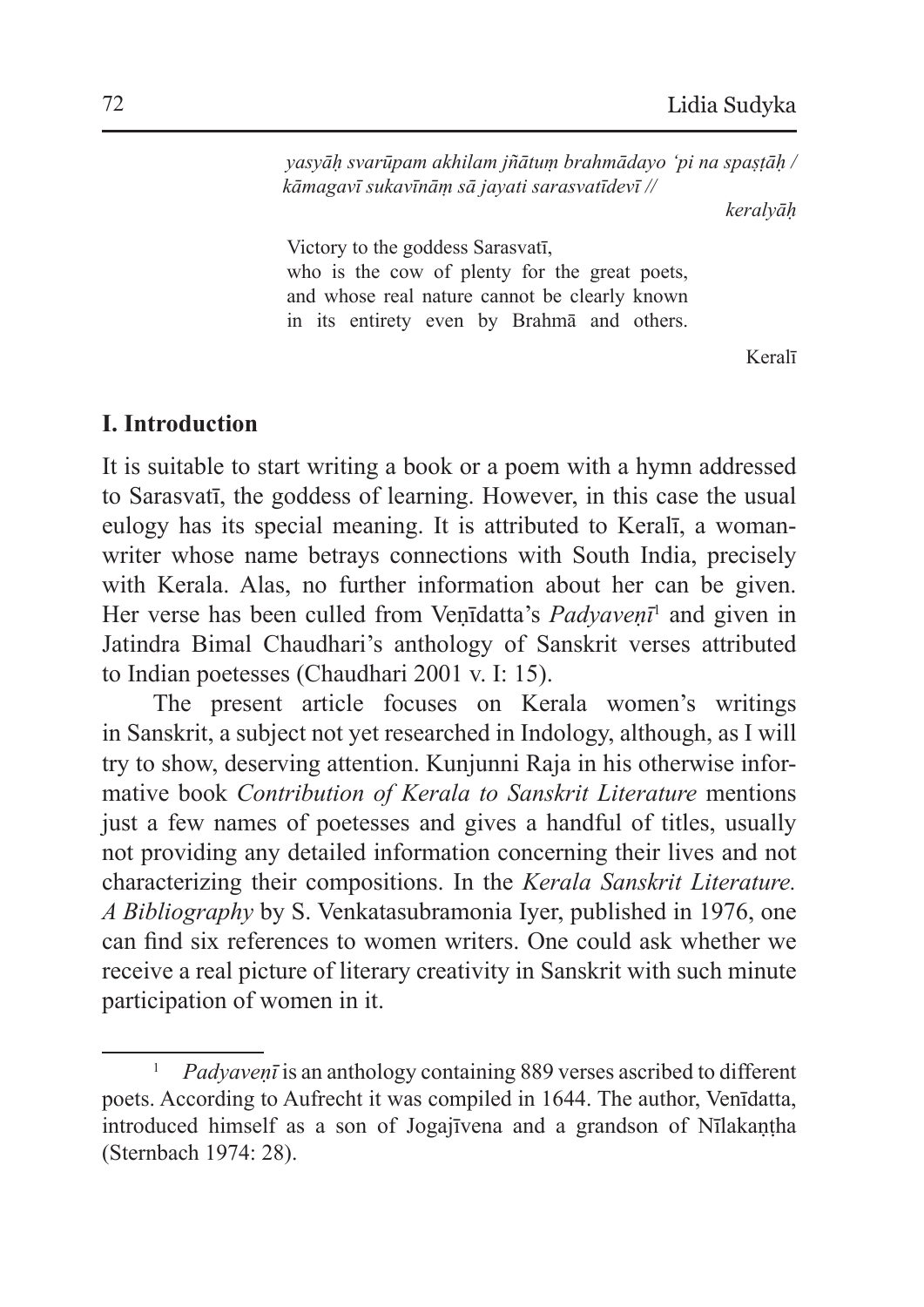*yasyāḥ svarūpam akhilam jñātuṃ brahmādayo 'pi na spaṣṭāḥ / kāmagavī sukavīnāṃ sā jayati sarasvatīdevī //*

*keralyāḥ*

Victory to the goddess Sarasvatī, who is the cow of plenty for the great poets, and whose real nature cannot be clearly known in its entirety even by Brahmā and others.

Keralī

### **I. Introduction**

It is suitable to start writing a book or a poem with a hymn addressed to Sarasvatī, the goddess of learning. However, in this case the usual eulogy has its special meaning. It is attributed to Keralī, a womanwriter whose name betrays connections with South India, precisely with Kerala. Alas, no further information about her can be given. Her verse has been culled from Venīdatta's *Padyavenī*<sup>1</sup> and given in Jatindra Bimal Chaudhari's anthology of Sanskrit verses attributed to Indian poetesses (Chaudhari 2001 v. I: 15).

The present article focuses on Kerala women's writings in Sanskrit, a subject not yet researched in Indology, although, as I will try to show, deserving attention. Kunjunni Raja in his otherwise informative book *Contribution of Kerala to Sanskrit Literature* mentions just a few names of poetesses and gives a handful of titles, usually not providing any detailed information concerning their lives and not characterizing their compositions. In the *Kerala Sanskrit Literature. A Bibliography* by S. Venkatasubramonia Iyer, published in 1976, one can find six references to women writers. One could ask whether we receive a real picture of literary creativity in Sanskrit with such minute participation of women in it.

<sup>1</sup> *Padyaveṇī* is an anthology containing 889 verses ascribed to different poets. According to Aufrecht it was compiled in 1644. The author, Venīdatta, introduced himself as a son of Jogajīvena and a grandson of Nīlakaṇṭha (Sternbach 1974: 28).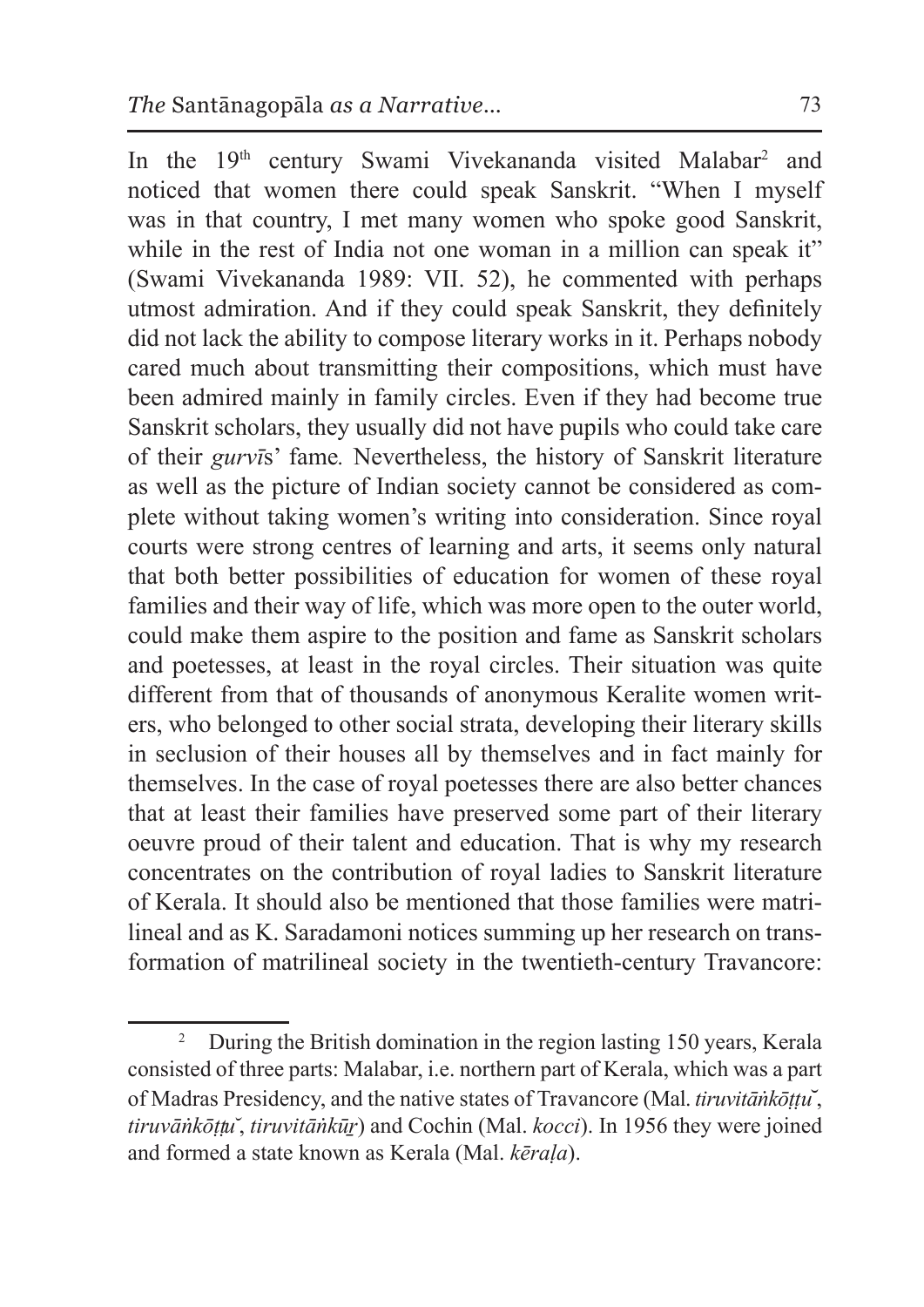In the 19<sup>th</sup> century Swami Vivekananda visited Malabar<sup>2</sup> and noticed that women there could speak Sanskrit. "When I myself was in that country, I met many women who spoke good Sanskrit, while in the rest of India not one woman in a million can speak it" (Swami Vivekananda 1989: VII. 52), he commented with perhaps utmost admiration. And if they could speak Sanskrit, they definitely did not lack the ability to compose literary works in it. Perhaps nobody cared much about transmitting their compositions, which must have been admired mainly in family circles. Even if they had become true Sanskrit scholars, they usually did not have pupils who could take care of their *gurvī*s' fame*.* Nevertheless, the history of Sanskrit literature as well as the picture of Indian society cannot be considered as complete without taking women's writing into consideration. Since royal courts were strong centres of learning and arts, it seems only natural that both better possibilities of education for women of these royal families and their way of life, which was more open to the outer world, could make them aspire to the position and fame as Sanskrit scholars and poetesses, at least in the royal circles. Their situation was quite different from that of thousands of anonymous Keralite women writers, who belonged to other social strata, developing their literary skills in seclusion of their houses all by themselves and in fact mainly for themselves. In the case of royal poetesses there are also better chances that at least their families have preserved some part of their literary oeuvre proud of their talent and education. That is why my research concentrates on the contribution of royal ladies to Sanskrit literature of Kerala. It should also be mentioned that those families were matrilineal and as K. Saradamoni notices summing up her research on transformation of matrilineal society in the twentieth-century Travancore:

<sup>&</sup>lt;sup>2</sup> During the British domination in the region lasting 150 years, Kerala consisted of three parts: Malabar, i.e. northern part of Kerala, which was a part of Madras Presidency, and the native states of Travancore (Mal. *tiruvitāṅkōṭṭu*̆, *tiruvāṅkōṭṭu ̆*, *tiruvitāṅkūṟ*) and Cochin (Mal. *kocci*). In 1956 they were joined and formed a state known as Kerala (Mal. *kēraḷa*).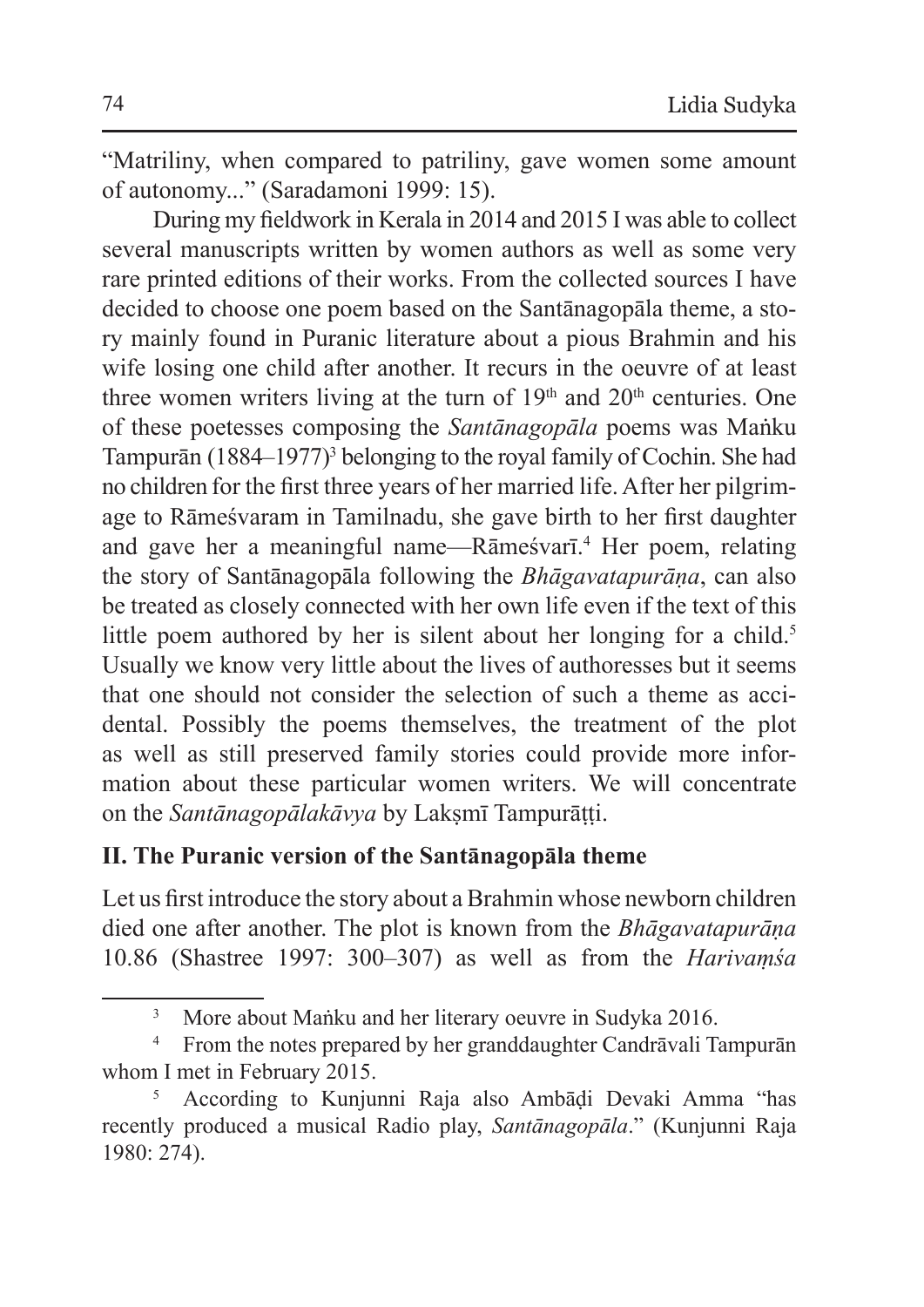"Matriliny, when compared to patriliny, gave women some amount of autonomy..." (Saradamoni 1999: 15).

During my fieldwork in Kerala in 2014 and 2015 I was able to collect several manuscripts written by women authors as well as some very rare printed editions of their works. From the collected sources I have decided to choose one poem based on the Santānagopāla theme, a story mainly found in Puranic literature about a pious Brahmin and his wife losing one child after another. It recurs in the oeuvre of at least three women writers living at the turn of  $19<sup>th</sup>$  and  $20<sup>th</sup>$  centuries. One of these poetesses composing the *Santānagopāla* poems was Maṅku Tampurān (1884–1977)<sup>3</sup> belonging to the royal family of Cochin. She had no children for the first three years of her married life.After her pilgrimage to Rāmeśvaram in Tamilnadu, she gave birth to her first daughter and gave her a meaningful name—Rāmeśvarī.<sup>4</sup> Her poem, relating the story of Santānagopāla following the *Bhāgavatapurāṇa*, can also be treated as closely connected with her own life even if the text of this little poem authored by her is silent about her longing for a child.<sup>5</sup> Usually we know very little about the lives of authoresses but it seems that one should not consider the selection of such a theme as accidental. Possibly the poems themselves, the treatment of the plot as well as still preserved family stories could provide more information about these particular women writers. We will concentrate on the *Santānagopālakāvya* by Lakṣmī Tampurāṭṭi.

### **II. The Puranic version of the Santānagopāla theme**

Let us first introduce the story about a Brahmin whose newborn children died one after another. The plot is known from the *Bhāgavatapurāṇa* 10.86 (Shastree 1997: 300–307) as well as from the *Harivaṃśa*

<sup>&</sup>lt;sup>3</sup> More about Maṅku and her literary oeuvre in Sudyka 2016.

<sup>4</sup> From the notes prepared by her granddaughter Candrāvali Tampurān whom I met in February 2015.

<sup>5</sup> According to Kunjunni Raja also Ambāḍi Devaki Amma "has recently produced a musical Radio play, *Santānagopāla*." (Kunjunni Raja 1980: 274).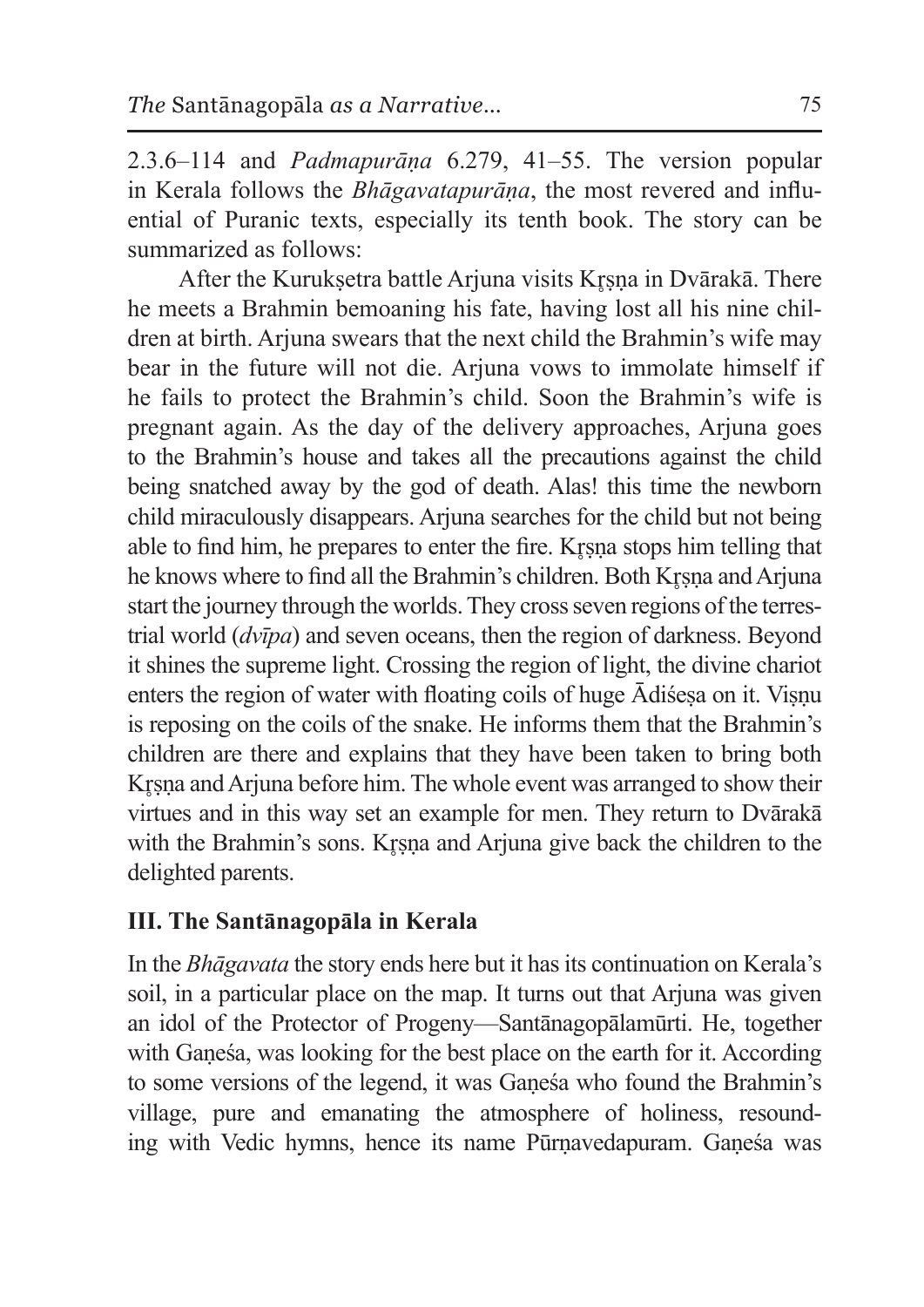2.3.6–114 and *Padmapurāṇa* 6.279, 41–55. The version popular in Kerala follows the *Bhāgavatapurāṇa*, the most revered and influential of Puranic texts, especially its tenth book. The story can be summarized as follows:

After the Kuruksetra battle Arjuna visits Krsna in Dvārakā. There he meets a Brahmin bemoaning his fate, having lost all his nine children at birth. Arjuna swears that the next child the Brahmin's wife may bear in the future will not die. Arjuna vows to immolate himself if he fails to protect the Brahmin's child. Soon the Brahmin's wife is pregnant again. As the day of the delivery approaches, Arjuna goes to the Brahmin's house and takes all the precautions against the child being snatched away by the god of death. Alas! this time the newborn child miraculously disappears. Arjuna searches for the child but not being able to find him, he prepares to enter the fire. Krsna stops him telling that he knows where to find all the Brahmin's children. Both Krsna and Arjuna start the journey through the worlds. They cross seven regions of the terrestrial world (*dvīpa*) and seven oceans, then the region of darkness. Beyond it shines the supreme light. Crossing the region of light, the divine chariot enters the region of water with floating coils of huge Ādiśeṣa on it. Viṣṇu is reposing on the coils of the snake. He informs them that the Brahmin's children are there and explains that they have been taken to bring both Krsna and Arjuna before him. The whole event was arranged to show their virtues and in this way set an example for men. They return to Dvārakā with the Brahmin's sons. Krsna and Arjuna give back the children to the delighted parents.

# **III. The Santānagopāla in Kerala**

In the *Bhāgavata* the story ends here but it hasits continuation on Kerala's soil, in a particular place on the map. It turns out that Arjuna was given an idol of the Protector of Progeny—Santānagopālamūrti. He, together with Ganesa, was looking for the best place on the earth for it. According to some versions of the legend, it was Gaṇeśa who found the Brahmin's village, pure and emanating the atmosphere of holiness, resounding with Vedic hymns, hence its name Pūrnavedapuram. Ganesa was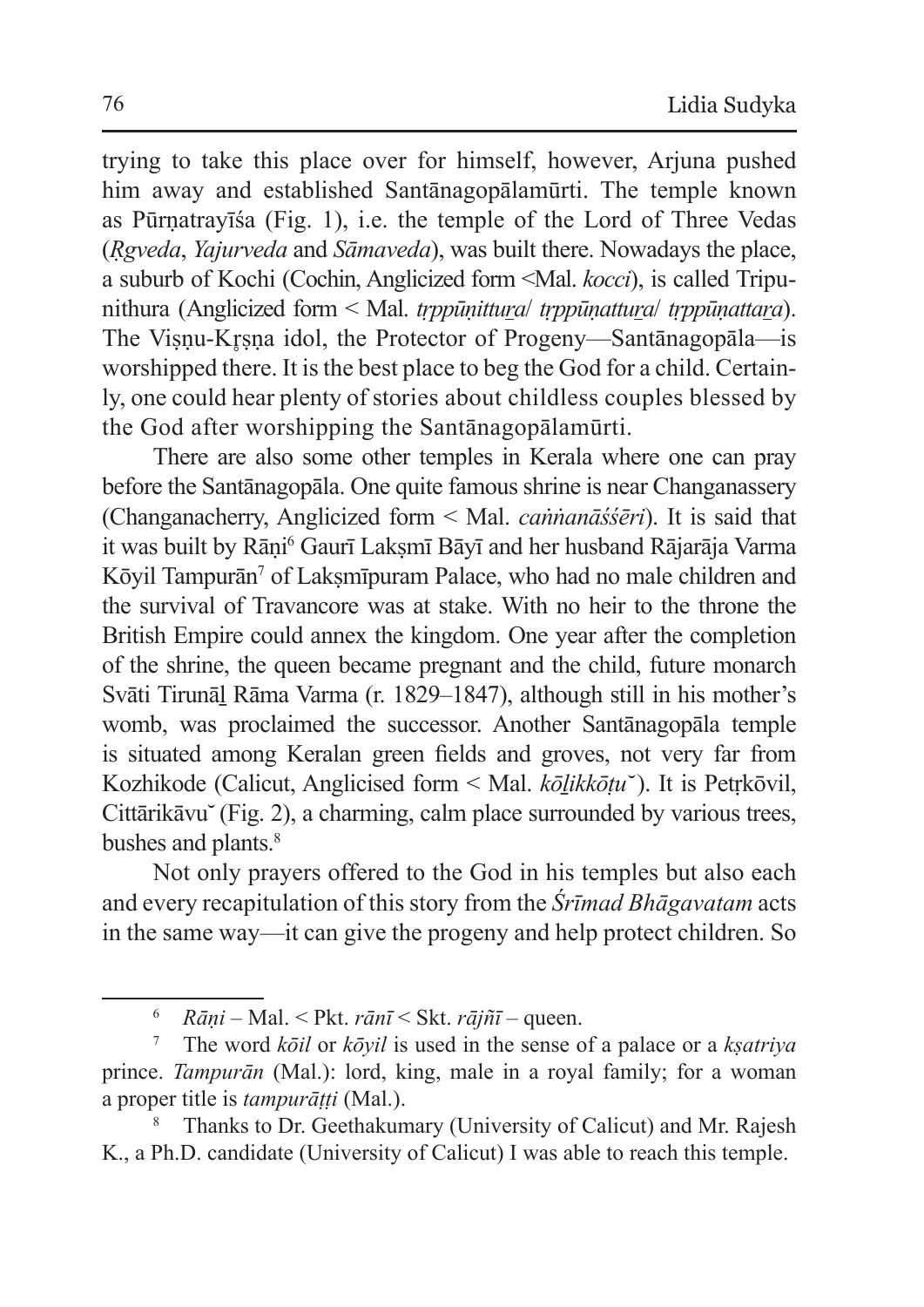trying to take this place over for himself, however, Arjuna pushed him away and established Santānagopālamūrti. The temple known as Pūrṇatrayīśa (Fig. 1), i.e. the temple of the Lord of Three Vedas (*Ṛgveda*, *Yajurveda* and *Sāmaveda*), was built there. Nowadays the place, a suburb of Kochi (Cochin, Anglicized form <Mal. *kocci*), is called Tripunithura (Anglicized form < Mal. *tṛppūṇittura*/ *tṛppūṇattura*/ *tṛppūṇattara*). The Visnu-Krsna idol, the Protector of Progeny—Santānagopāla—is worshipped there. It is the best place to beg the God for a child. Certainly, one could hear plenty of stories about childless couples blessed by the God after worshipping the Santānagopālamūrti.

There are also some other temples in Kerala where one can pray before the Santānagopāla. One quite famous shrine is near Changanassery (Changanacherry, Anglicized form < Mal. *caṅṅanāśśēri*). It is said that it was built by Rāṇi<sup>6</sup> Gaurī Lakṣmī Bāyī and her husband Rājarāja Varma Kōyil Tampurān<sup>7</sup> of Laksmīpuram Palace, who had no male children and the survival of Travancore was at stake. With no heir to the throne the British Empire could annex the kingdom. One year after the completion of the shrine, the queen became pregnant and the child, future monarch Svāti Tirunāḻ Rāma Varma (r. 1829–1847), although still in his mother's womb, was proclaimed the successor. Another Santānagopāla temple is situated among Keralan green fields and groves, not very far from Kozhikode (Calicut, Anglicised form < Mal. *kōḻikkōṭu* ̆). It is Petṛkōvil, Cittārikāvu (Fig. 2), a charming, calm place surrounded by various trees, bushes and plants.<sup>8</sup>

Not only prayers offered to the God in his temples but also each and every recapitulation of this story from the *Śrīmad Bhāgavatam* acts in the same way—it can give the progeny and help protect children. So

<sup>6</sup> *Rāṇi* – Mal. < Pkt. *rānī* < Skt. *rājñī* – queen.

<sup>7</sup> The word *kōil* or *kōyil* is used in the sense of a palace or a *kṣatriya* prince. *Tampurān* (Mal.): lord, king, male in a royal family; for a woman a proper title is *tampurāṭṭi* (Mal.).

Thanks to Dr. Geethakumary (University of Calicut) and Mr. Rajesh K., a Ph.D. candidate (University of Calicut) I was able to reach this temple.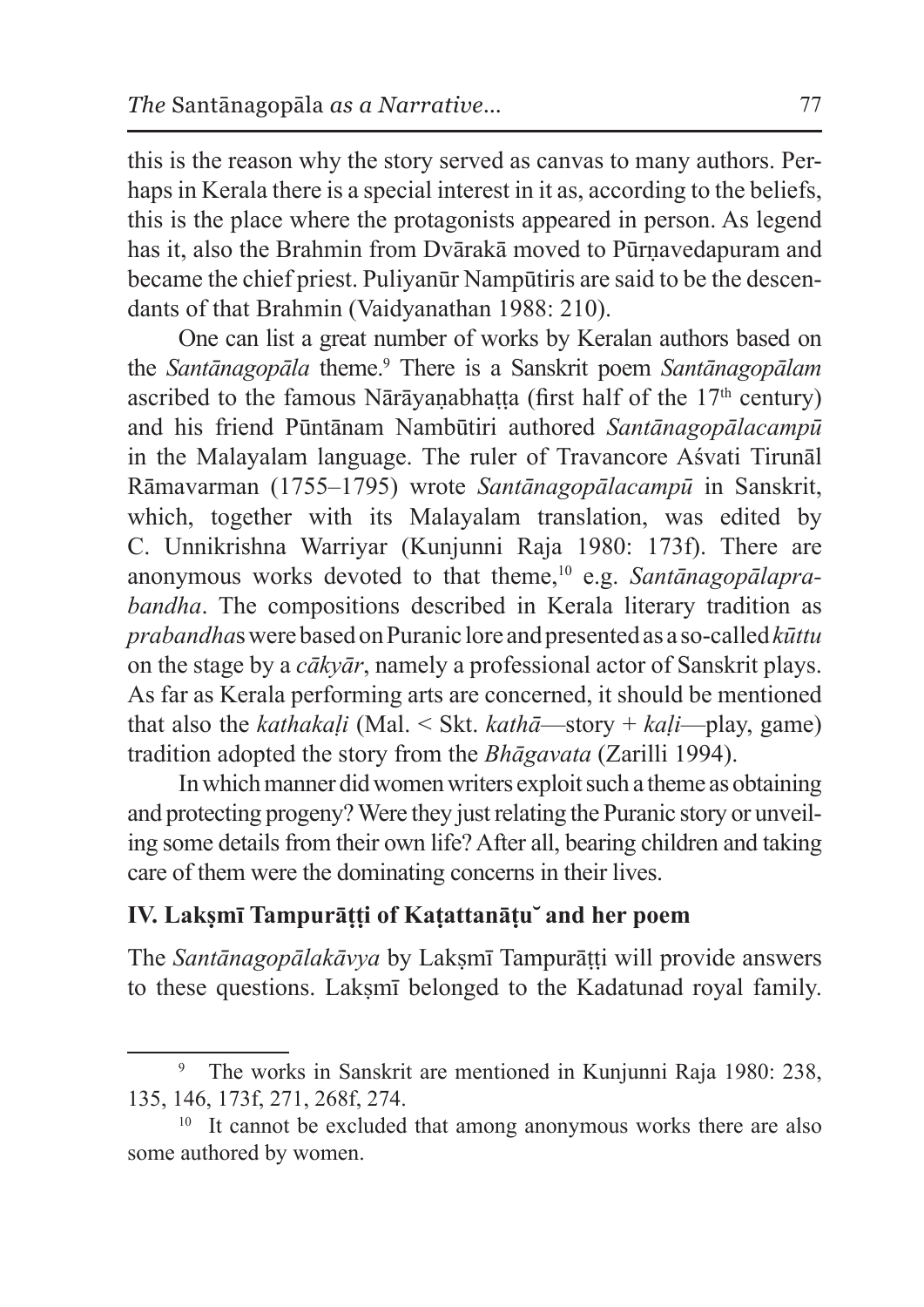this is the reason why the story served as canvas to many authors. Perhaps in Kerala there is a special interest in it as, according to the beliefs, this is the place where the protagonists appeared in person. As legend has it, also the Brahmin from Dvārakā moved to Pūrṇavedapuram and became the chief priest. Puliyanūr Nampūtiris are said to be the descendants of that Brahmin (Vaidyanathan 1988: 210).

One can list a great number of works by Keralan authors based on the *Santānagopāla* theme.9 There is a Sanskrit poem *Santānagopālam*  ascribed to the famous Nārāyaṇabhaṭṭa (first half of the  $17<sup>th</sup>$  century) and his friend Pūntānam Nambūtiri authored *Santānagopālacampū*  in the Malayalam language. The ruler of Travancore Aśvati Tirunāl Rāmavarman (1755–1795) wrote *Santānagopālacampū* in Sanskrit, which, together with its Malayalam translation, was edited by C. Unnikrishna Warriyar (Kunjunni Raja 1980: 173f). There are anonymous works devoted to that theme,10 e.g. *Santānagopālaprabandha*. The compositions described in Kerala literary tradition as *prabandha*swerebasedon Puranic lore andpresentedas a so-called*kūttu* on the stage by a *cākyār*, namely a professional actor of Sanskrit plays. As far as Kerala performing arts are concerned, it should be mentioned that also the *kathakaḷi* (Mal. < Skt. *kathā*—story + *kaḷi*—play, game) tradition adopted the story from the *Bhāgavata* (Zarilli 1994).

In which manner did women writers exploit such a theme as obtaining and protecting progeny? Were they just relating the Puranic story or unveiling some details from their own life? After all, bearing children and taking care of them were the dominating concerns in their lives.

# **IV. Lakṣmī Tampurāṭṭi of Kaṭattanāṭu ̆ and her poem**

The *Santānagopālakāvya* by Lakṣmī Tampurāṭṭi will provide answers to these questions. Lakṣmī belonged to the Kadatunad royal family.

<sup>9</sup> The works in Sanskrit are mentioned in Kunjunni Raja 1980: 238, 135, 146, 173f, 271, 268f, 274.

<sup>&</sup>lt;sup>10</sup> It cannot be excluded that among anonymous works there are also some authored by women.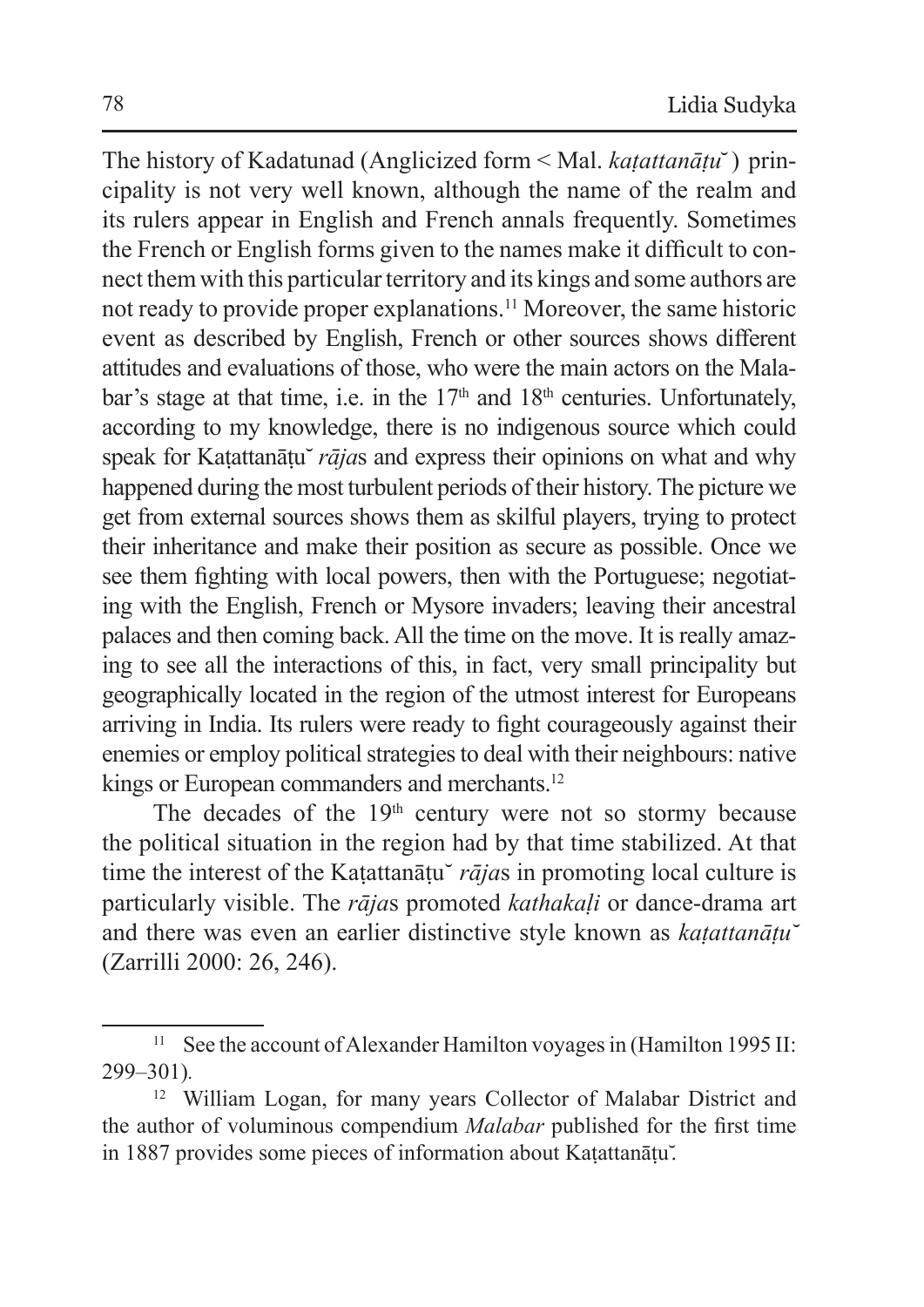The history of Kadatunad (Anglicized form < Mal. *kaṭattanāṭu*̆) principality is not very well known, although the name of the realm and its rulers appear in English and French annals frequently. Sometimes the French or English forms given to the names make it difficult to connect them with this particular territory and its kings and some authors are not ready to provide proper explanations.11 Moreover, the same historic event as described by English, French or other sources shows different attitudes and evaluations of those, who were the main actors on the Malabar's stage at that time, i.e. in the  $17<sup>th</sup>$  and  $18<sup>th</sup>$  centuries. Unfortunately, according to my knowledge, there is no indigenous source which could speak for Katattanātu<sup>*rājas* and express their opinions on what and why</sup> happened during the most turbulent periods of their history. The picture we get from external sources shows them as skilful players, trying to protect their inheritance and make their position as secure as possible. Once we see them fighting with local powers, then with the Portuguese; negotiating with the English, French or Mysore invaders; leaving their ancestral palaces and then coming back. All the time on the move. It is really amazing to see all the interactions of this, in fact, very small principality but geographically located in the region of the utmost interest for Europeans arriving in India. Its rulers were ready to fight courageously against their enemies or employ political strategies to deal with their neighbours: native kings or European commanders and merchants.<sup>12</sup>

The decades of the  $19<sup>th</sup>$  century were not so stormy because the political situation in the region had by that time stabilized. At that time the interest of the Katattan $\bar{a}t\bar{u}$  *rājas* in promoting local culture is particularly visible. The *rāja*s promoted *kathakaḷi* or dance-drama art and there was even an earlier distinctive style known as *kaṭattanāṭu* ̆ (Zarrilli 2000: 26, 246).

<sup>&</sup>lt;sup>11</sup> See the account of Alexander Hamilton voyages in (Hamilton 1995 II: 299–301)*.*

<sup>&</sup>lt;sup>12</sup> William Logan, for many years Collector of Malabar District and the author of voluminous compendium *Malabar* published for the first time in 1887 provides some pieces of information about Katattanātu.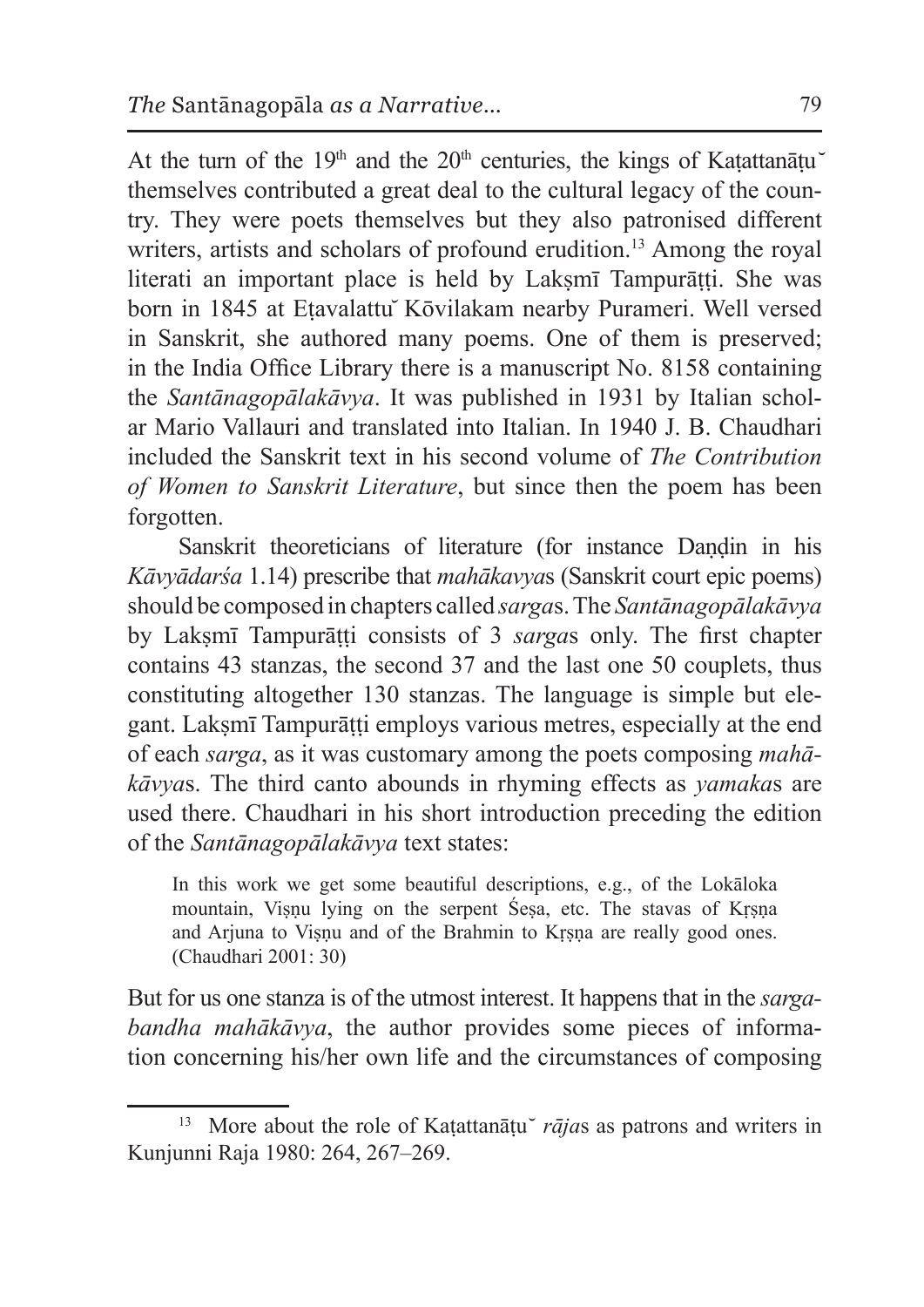At the turn of the 19<sup>th</sup> and the 20<sup>th</sup> centuries, the kings of Katattan $\bar{a}$ tu themselves contributed a great deal to the cultural legacy of the country. They were poets themselves but they also patronised different writers, artists and scholars of profound erudition.<sup>13</sup> Among the royal literati an important place is held by Laksmī Tampurātti. She was born in 1845 at Etavalattu *K*ōvilakam nearby Purameri. Well versed in Sanskrit, she authored many poems. One of them is preserved; in the India Office Library there is a manuscript No. 8158 containing the *Santānagopālakāvya*. It was published in 1931 by Italian scholar Mario Vallauri and translated into Italian. In 1940 J. B. Chaudhari included the Sanskrit text in his second volume of *The Contribution of Women to Sanskrit Literature*, but since then the poem has been forgotten.

Sanskrit theoreticians of literature (for instance Daṇḍin in his *Kāvyādarśa* 1.14) prescribe that *mahākavya*s (Sanskrit court epic poems) should be composed in chapters called *sarga*s. The *Santānagopālakāvya* by Lakṣmī Tampurāṭṭi consists of 3 *sarga*s only. The first chapter contains 43 stanzas, the second 37 and the last one 50 couplets, thus constituting altogether 130 stanzas. The language is simple but elegant. Laksmī Tampurātti employs various metres, especially at the end of each *sarga*, as it was customary among the poets composing *mahākāvya*s. The third canto abounds in rhyming effects as *yamaka*s are used there. Chaudhari in his short introduction preceding the edition of the *Santānagopālakāvya* text states:

In this work we get some beautiful descriptions, e.g., of the Lokāloka mountain, Viṣṇu lying on the serpent Śeṣa, etc. The stavas of Kṛṣṇa and Arjuna to Viṣṇu and of the Brahmin to Kṛṣṇa are really good ones. (Chaudhari 2001: 30)

But for us one stanza is of the utmost interest. It happens that in the *sargabandha mahākāvya*, the author provides some pieces of information concerning his/her own life and the circumstances of composing

<sup>&</sup>lt;sup>13</sup> More about the role of Katattanātu  $\bar{r}a\bar{j}a s$  as patrons and writers in Kunjunni Raja 1980: 264, 267–269.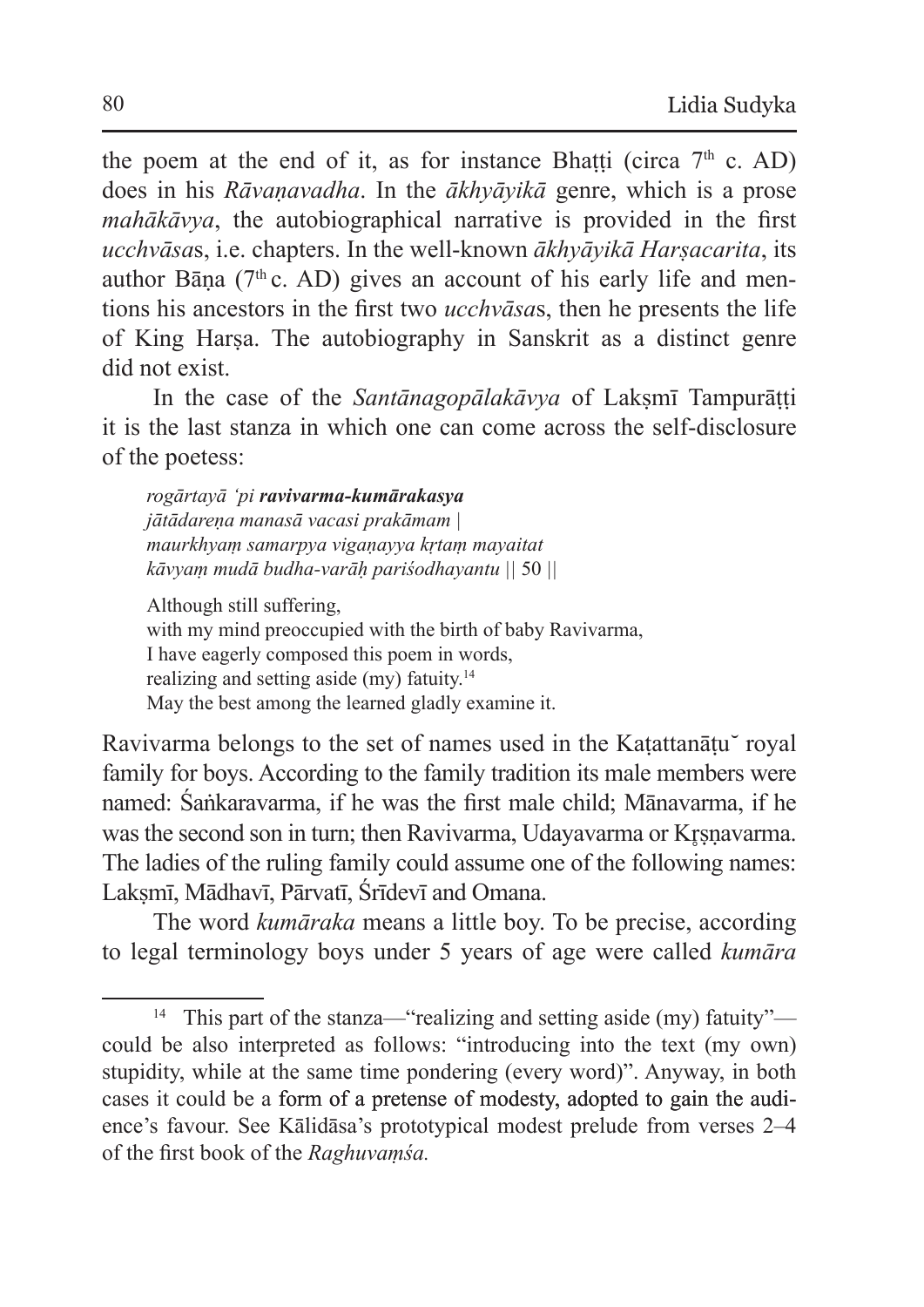the poem at the end of it, as for instance Bhatti (circa  $7<sup>th</sup>$  c. AD) does in his *Rāvaṇavadha*. In the *ākhyāyikā* genre, which is a prose *mahākāvya*, the autobiographical narrative is provided in the first *ucchvāsa*s, i.e. chapters. In the well-known *ākhyāyikā Harṣacarita*, its author Bāna ( $7<sup>th</sup>$ c. AD) gives an account of his early life and mentions his ancestors in the first two *ucchvāsa*s, then he presents the life of King Harṣa. The autobiography in Sanskrit as a distinct genre did not exist.

In the case of the *Santānagopālakāvya* of Lakṣmī Tampurāṭṭi it is the last stanza in which one can come across the self-disclosure of the poetess:

*rogārtayā 'pi ravivarma-kumārakasya jātādareṇa manasā vacasi prakāmam | maurkhyaṃ samarpya vigaṇayya kṛtaṃ mayaitat kāvyaṃ mudā budha-varāḥ pariśodhayantu ||* 50 *||*

Although still suffering, with my mind preoccupied with the birth of baby Ravivarma, I have eagerly composed this poem in words, realizing and setting aside (my) fatuity.<sup>14</sup> May the best among the learned gladly examine it.

Ravivarma belongs to the set of names used in the Katattanātu royal family for boys. According to the family tradition its male members were named: Śaṅkaravarma, if he was the first male child; Mānavarma, if he was the second son in turn; then Ravivarma, Udayavarma or Krsnavarma. The ladies of the ruling family could assume one of the following names: Lakṣmī, Mādhavī, Pārvatī, Śrīdevī and Omana.

The word *kumāraka* means a little boy. To be precise, according to legal terminology boys under 5 years of age were called *kumāra*

<sup>14</sup> This part of the stanza—"realizing and setting aside (my) fatuity" could be also interpreted as follows: "introducing into the text (my own) stupidity, while at the same time pondering (every word)". Anyway, in both cases it could be a form of a pretense of modesty, adopted to gain the audience's favour. See Kālidāsa's prototypical modest prelude from verses 2–4 of the first book of the *Raghuvaṃśa.*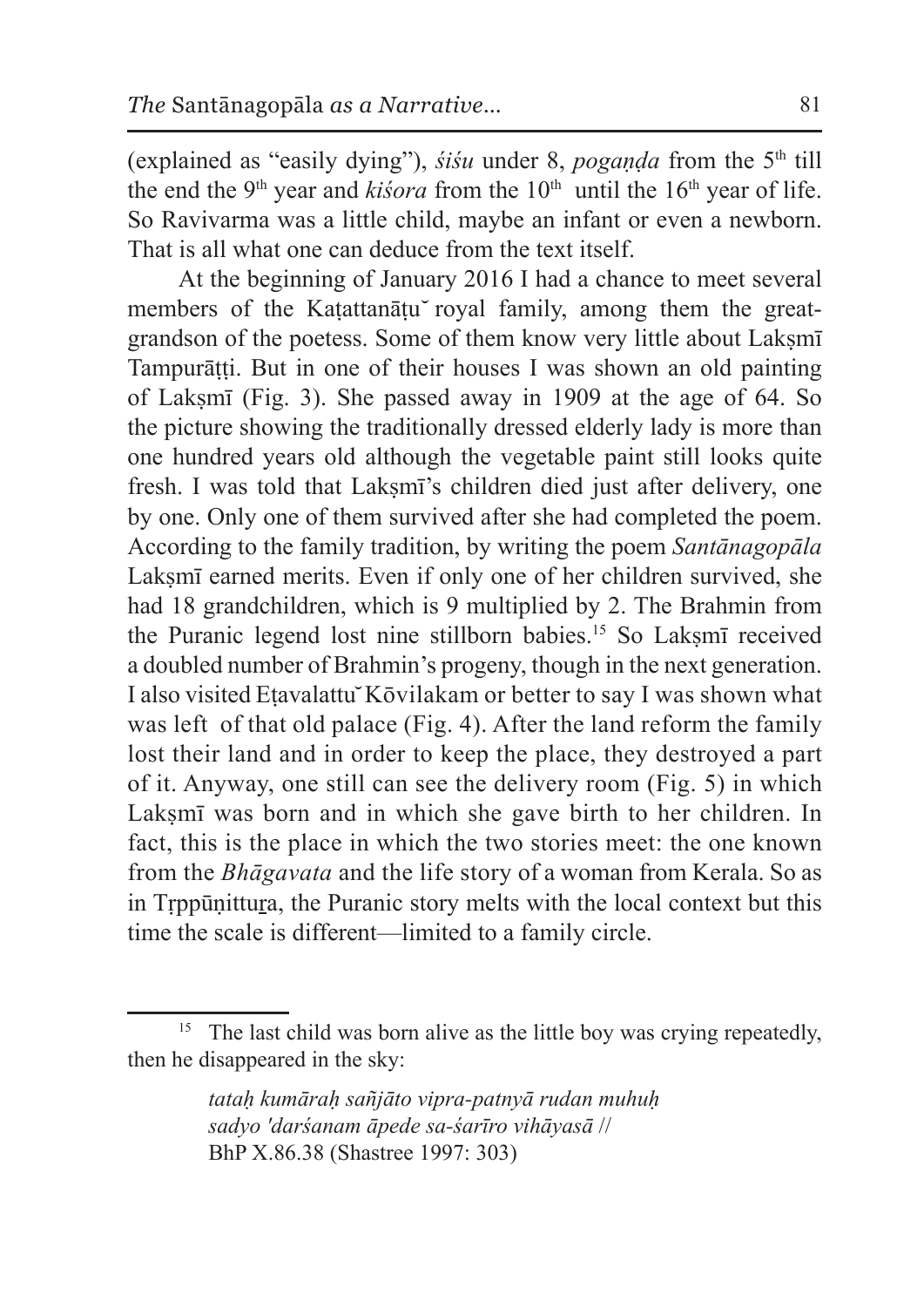(explained as "easily dying"), *śiśu* under 8, *pogaṇḍa* from the 5th till the end the 9<sup>th</sup> year and *kisora* from the  $10<sup>th</sup>$  until the  $16<sup>th</sup>$  year of life. So Ravivarma was a little child, maybe an infant or even a newborn. That is all what one can deduce from the text itself.

At the beginning of January 2016 I had a chance to meet several members of the Katattanātu royal family, among them the greatgrandson of the poetess. Some of them know very little about Laksm Tampurāṭṭi. But in one of their houses I was shown an old painting of Lakṣmī (Fig. 3). She passed away in 1909 at the age of 64. So the picture showing the traditionally dressed elderly lady is more than one hundred years old although the vegetable paint still looks quite fresh. I was told that Lakṣmī's children died just after delivery, one by one. Only one of them survived after she had completed the poem. According to the family tradition, by writing the poem *Santānagopāla* Laksmī earned merits. Even if only one of her children survived, she had 18 grandchildren, which is 9 multiplied by 2. The Brahmin from the Puranic legend lost nine stillborn babies.<sup>15</sup> So Laksm<del>i</del> received a doubled number of Brahmin's progeny, though in the next generation. I also visited Etavalattu Kōvilakam or better to say I was shown what was left of that old palace (Fig. 4). After the land reform the family lost their land and in order to keep the place, they destroyed a part of it. Anyway, one still can see the delivery room (Fig. 5) in which Laksmī was born and in which she gave birth to her children. In fact, this is the place in which the two stories meet: the one known from the *Bhāgavata* and the life story of a woman from Kerala. So as in Tṛppūṇittura, the Puranic story melts with the local context but this time the scale is different—limited to a family circle.

*tataḥ kumāraḥ sañjāto vipra-patnyā rudan muhuḥ sadyo 'darśanam āpede sa-śarīro vihāyasā* // BhP X.86.38 (Shastree 1997: 303)

<sup>&</sup>lt;sup>15</sup> The last child was born alive as the little boy was crying repeatedly, then he disappeared in the sky: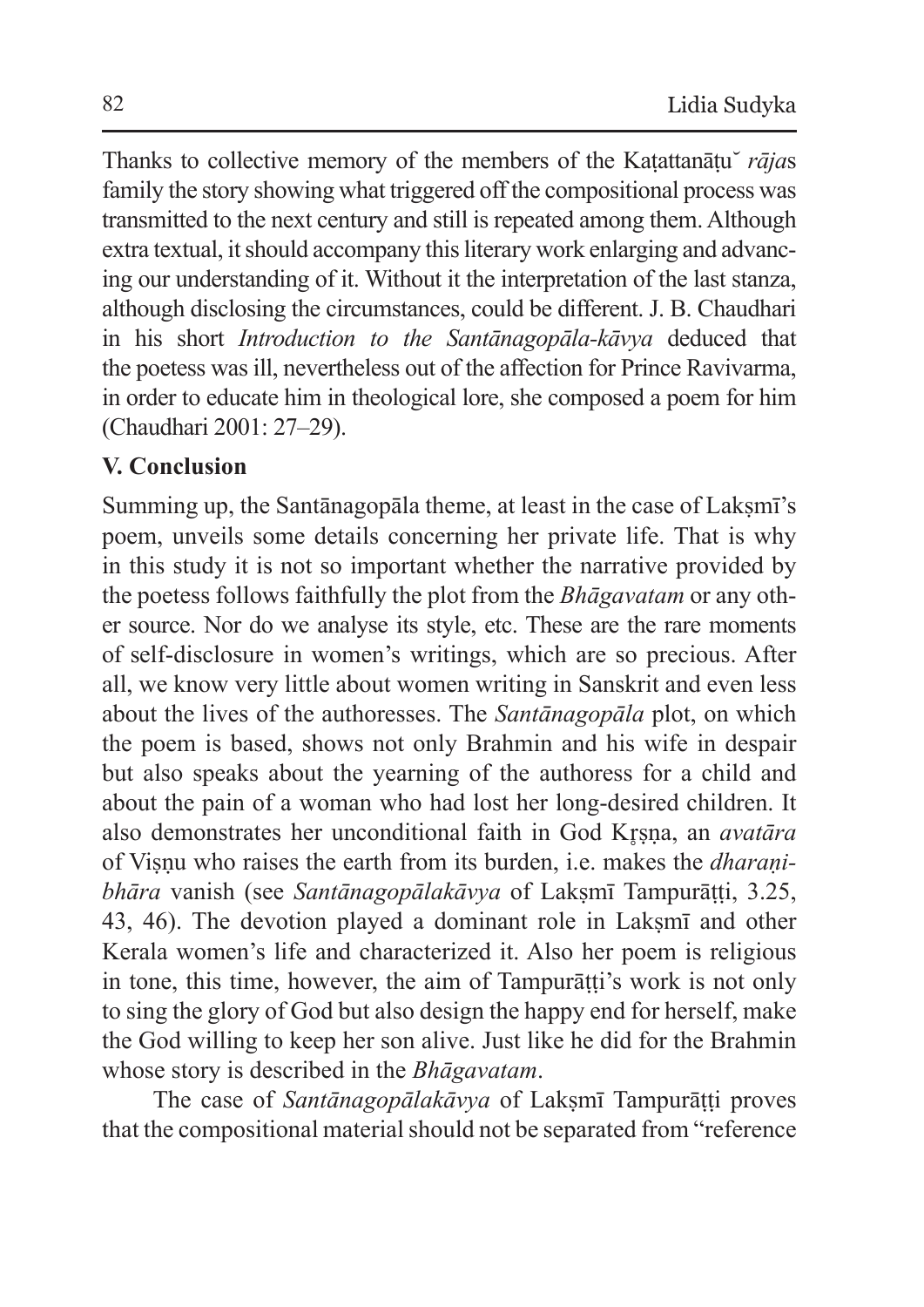Thanks to collective memory of the members of the Kaṭattanāṭu *̆ rāja*s family the story showing what triggered off the compositional process was transmitted to the next century and still is repeated among them. Although extra textual, it should accompany this literary work enlarging and advancing our understanding of it. Without it the interpretation of the last stanza, although disclosing the circumstances, could be different. J. B. Chaudhari in his short *Introduction to the Santānagopāla-kāvya* deduced that the poetess was ill, nevertheless out of the affection for Prince Ravivarma, in order to educate him in theological lore, she composed a poem for him (Chaudhari 2001: 27–29).

# **V. Conclusion**

Summing up, the Santānagopāla theme, at least in the case of Laksmī's poem, unveils some details concerning her private life. That is why in this study it is not so important whether the narrative provided by the poetess follows faithfully the plot from the *Bhāgavatam* or any other source. Nor do we analyse its style, etc. These are the rare moments of self-disclosure in women's writings, which are so precious. After all, we know very little about women writing in Sanskrit and even less about the lives of the authoresses. The *Santānagopāla* plot, on which the poem is based, shows not only Brahmin and his wife in despair but also speaks about the yearning of the authoress for a child and about the pain of a woman who had lost her long-desired children. It also demonstrates her unconditional faith in God Krsna, an *avatāra* of Viṣṇu who raises the earth from its burden, i.e. makes the *dharaṇibhāra* vanish (see *Santānagopālakāvya* of Lakṣmī Tampurāṭṭi, 3.25, 43, 46). The devotion played a dominant role in Laksm<del>i</del> and other Kerala women's life and characterized it. Also her poem is religious in tone, this time, however, the aim of Tampurāṭṭi's work is not only to sing the glory of God but also design the happy end for herself, make the God willing to keep her son alive. Just like he did for the Brahmin whose story is described in the *Bhāgavatam*.

The case of *Santānagopālakāvya* of Lakṣmī Tampurāṭṭi proves that the compositional material should not be separated from "reference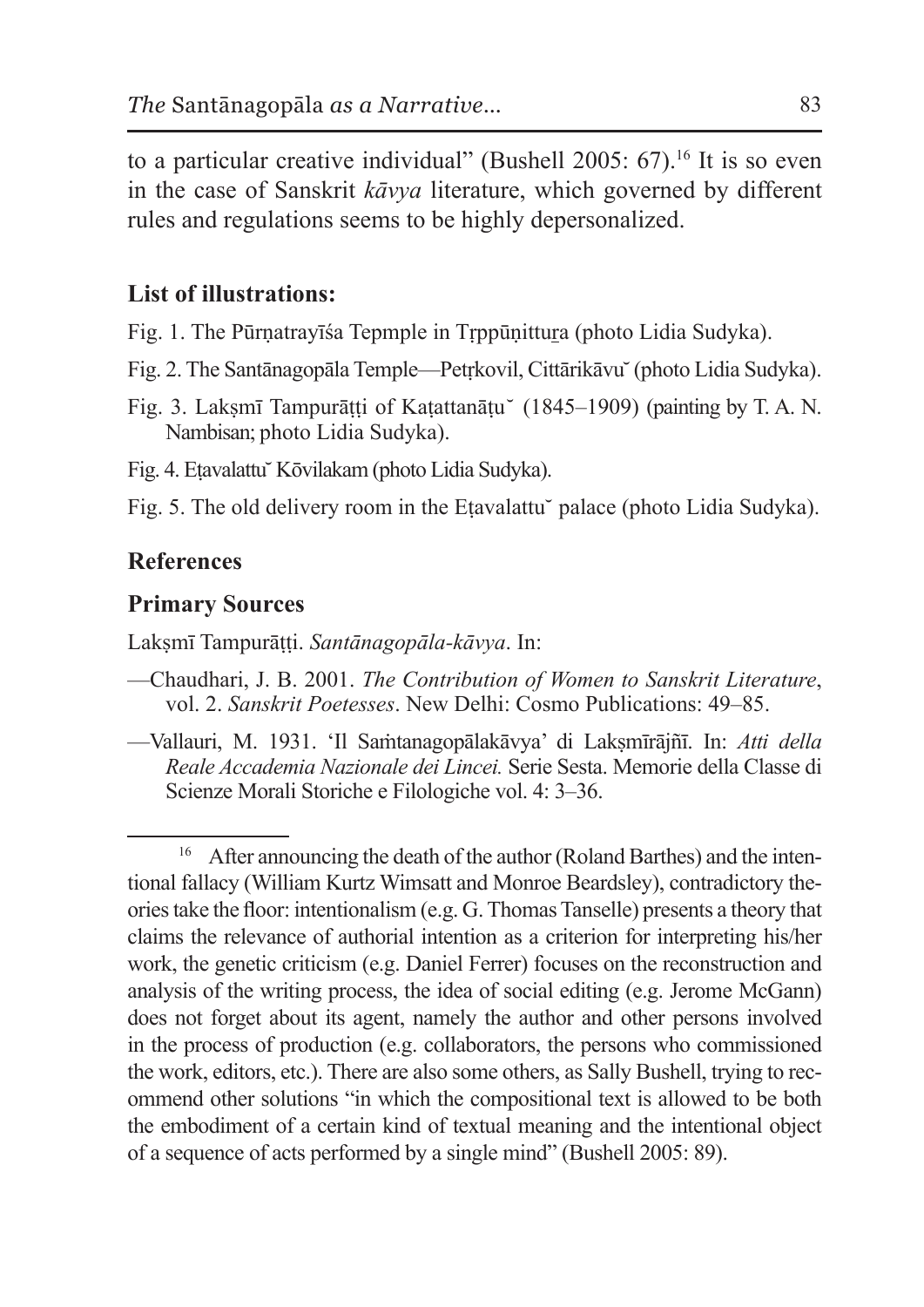to a particular creative individual" (Bushell 2005:  $67$ ).<sup>16</sup> It is so even in the case of Sanskrit *kāvya* literature, which governed by different rules and regulations seems to be highly depersonalized.

### **List of illustrations:**

Fig. 1. The Pūrṇatrayīśa Tepmple in Tṛppūṇittura (photo Lidia Sudyka).

- Fig. 2. The Santānagopāla Temple—Petṛkovil, Cittārikāvu ̆(photo Lidia Sudyka).
- Fig. 3. Lakṣmī Tampurāṭṭi of Kaṭattanāṭu (1845–1909) (painting by T. A. N. Nambisan; photo Lidia Sudyka).

Fig. 4. Etavalattu Kōvilakam (photo Lidia Sudyka).

Fig. 5. The old delivery room in the Etavalattu palace (photo Lidia Sudyka).

### **References**

#### **Primary Sources**

Lakṣmī Tampurāṭṭi. *Santānagopāla-kāvya*. In:

- —Chaudhari, J. B. 2001. *The Contribution of Women to Sanskrit Literature*, vol. 2. *Sanskrit Poetesses*. New Delhi: Cosmo Publications: 49–85.
- —Vallauri, M. 1931. 'Il Saṁtanagopālakāvya' di Lakṣmīrājñī. In: *Atti della Reale Accademia Nazionale dei Lincei.* Serie Sesta. Memorie della Classe di Scienze Morali Storiche e Filologiche vol. 4: 3–36.

<sup>&</sup>lt;sup>16</sup> After announcing the death of the author (Roland Barthes) and the intentional fallacy (William Kurtz Wimsatt and Monroe Beardsley), contradictory theoriestake the floor: intentionalism (e.g. G.ThomasTanselle) presents a theory that claims the relevance of authorial intention as a criterion for interpreting his/her work, the genetic criticism (e.g. Daniel Ferrer) focuses on the reconstruction and analysis of the writing process, the idea of social editing (e.g. Jerome McGann) does not forget about its agent, namely the author and other persons involved in the process of production (e.g. collaborators, the persons who commissioned the work, editors, etc.). There are also some others, as Sally Bushell, trying to recommend other solutions "in which the compositional text is allowed to be both the embodiment of a certain kind of textual meaning and the intentional object of a sequence of acts performed by a single mind" (Bushell 2005: 89).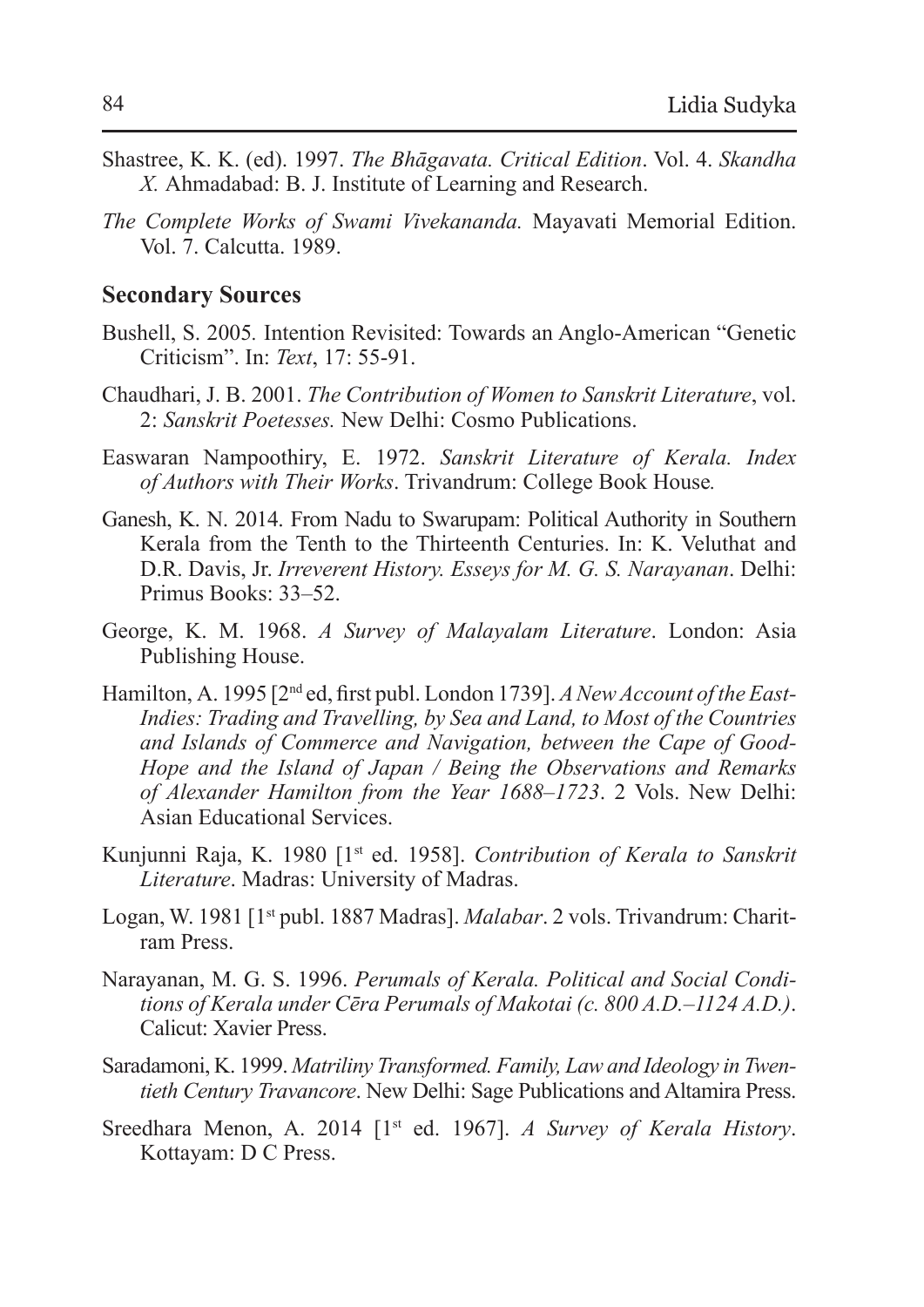- Shastree, K. K. (ed). 1997. *The Bhāgavata. Critical Edition*. Vol. 4. *Skandha X.* Ahmadabad: B. J. Institute of Learning and Research.
- *The Complete Works of Swami Vivekananda.* Mayavati Memorial Edition. Vol. 7. Calcutta. 1989.

### **Secondary Sources**

- Bushell, S. 2005*.* Intention Revisited: Towards an Anglo-American "Genetic Criticism". In: *Text*, 17: 55-91.
- Chaudhari, J. B. 2001. *The Contribution of Women to Sanskrit Literature*, vol. 2: *Sanskrit Poetesses.* New Delhi: Cosmo Publications.
- Easwaran Nampoothiry, E. 1972. *Sanskrit Literature of Kerala. Index of Authors with Their Works*. Trivandrum: College Book House*.*
- Ganesh, K. N. 2014. From Nadu to Swarupam: Political Authority in Southern Kerala from the Tenth to the Thirteenth Centuries. In: K. Veluthat and D.R. Davis, Jr. *Irreverent History. Esseys for M. G. S. Narayanan*. Delhi: Primus Books: 33–52.
- George, K. M. 1968. *A Survey of Malayalam Literature*. London: Asia Publishing House.
- Hamilton, A. 1995 [2nd ed, first publ. London 1739]. *ANew Account of the East-Indies: Trading and Travelling, by Sea and Land, to Most of the Countries and Islands of Commerce and Navigation, between the Cape of Good-Hope and the Island of Japan / Being the Observations and Remarks of Alexander Hamilton from the Year 1688–1723*. 2 Vols. New Delhi: Asian Educational Services.
- Kunjunni Raja, K. 1980 [1st ed. 1958]. *Contribution of Kerala to Sanskrit Literature*. Madras: University of Madras.
- Logan, W. 1981 [1st publ. 1887 Madras]. *Malabar*. 2 vols. Trivandrum: Charitram Press.
- Narayanan, M. G. S. 1996. *Perumals of Kerala. Political and Social Conditions of Kerala under Cēra Perumals of Makotai (c. 800 A.D.–1124 A.D.)*. Calicut: Xavier Press.
- Saradamoni, K. 1999. *Matriliny Transformed. Family, Law and Ideology in Twentieth Century Travancore*. New Delhi: Sage Publications and Altamira Press.
- Sreedhara Menon, A. 2014 [1st ed. 1967]. *A Survey of Kerala History*. Kottayam: D C Press.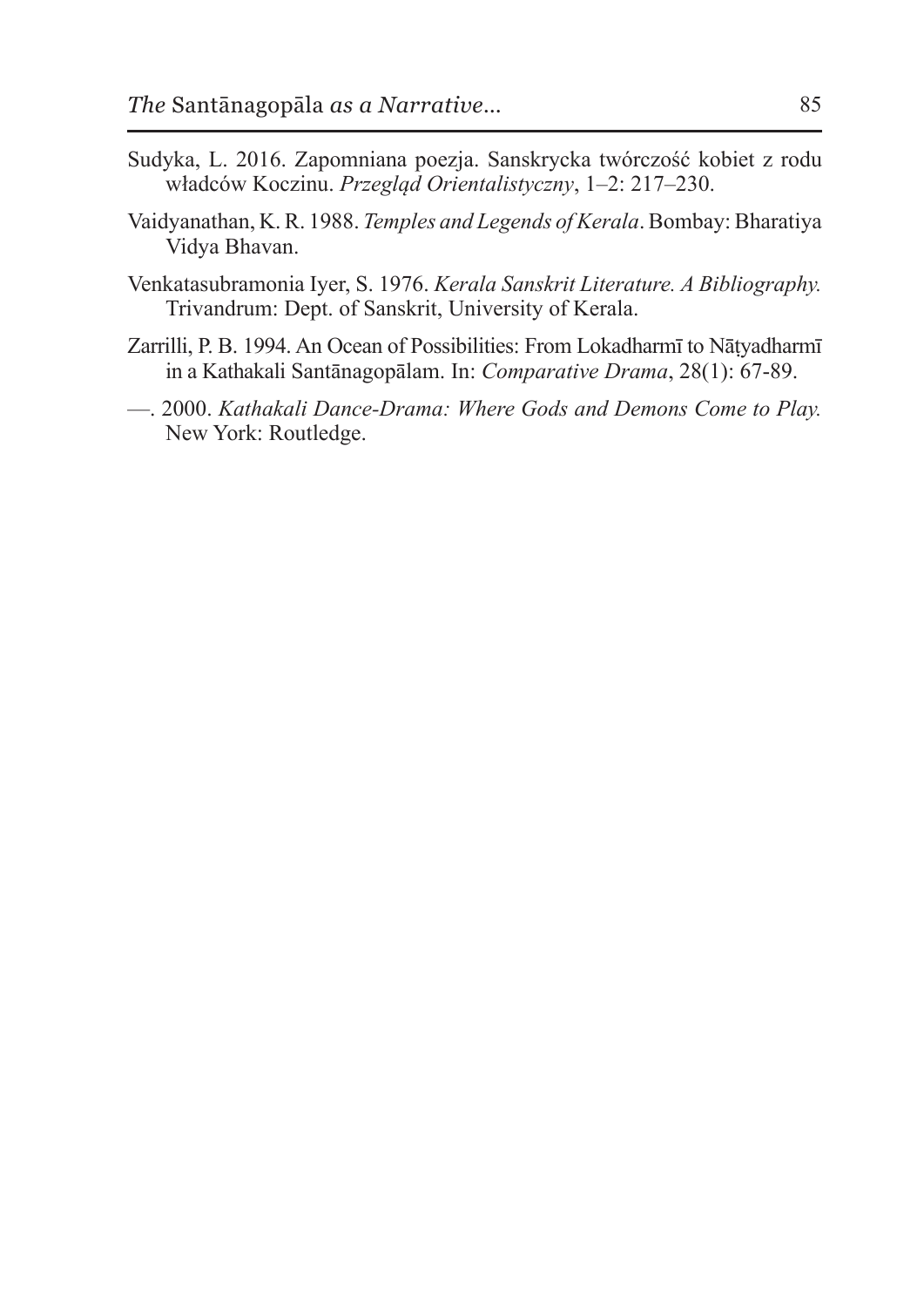- Sudyka, L. 2016. Zapomniana poezja. Sanskrycka twórczość kobiet z rodu władców Koczinu. *Przegląd Orientalistyczny*, 1–2: 217–230.
- Vaidyanathan, K.R. 1988. *Temples and Legends ofKerala*. Bombay: Bharatiya Vidya Bhavan.
- Venkatasubramonia Iyer, S. 1976. *Kerala Sanskrit Literature. A Bibliography.*  Trivandrum: Dept. of Sanskrit, University of Kerala.
- Zarrilli, P. B. 1994. An Ocean of Possibilities: From Lokadharmī to Nāṭyadharmī in a Kathakali Santānagopālam. In: *Comparative Drama*, 28(1): 67-89.
- —. 2000. *Kathakali Dance-Drama: Where Gods and Demons Come to Play.*  New York: Routledge.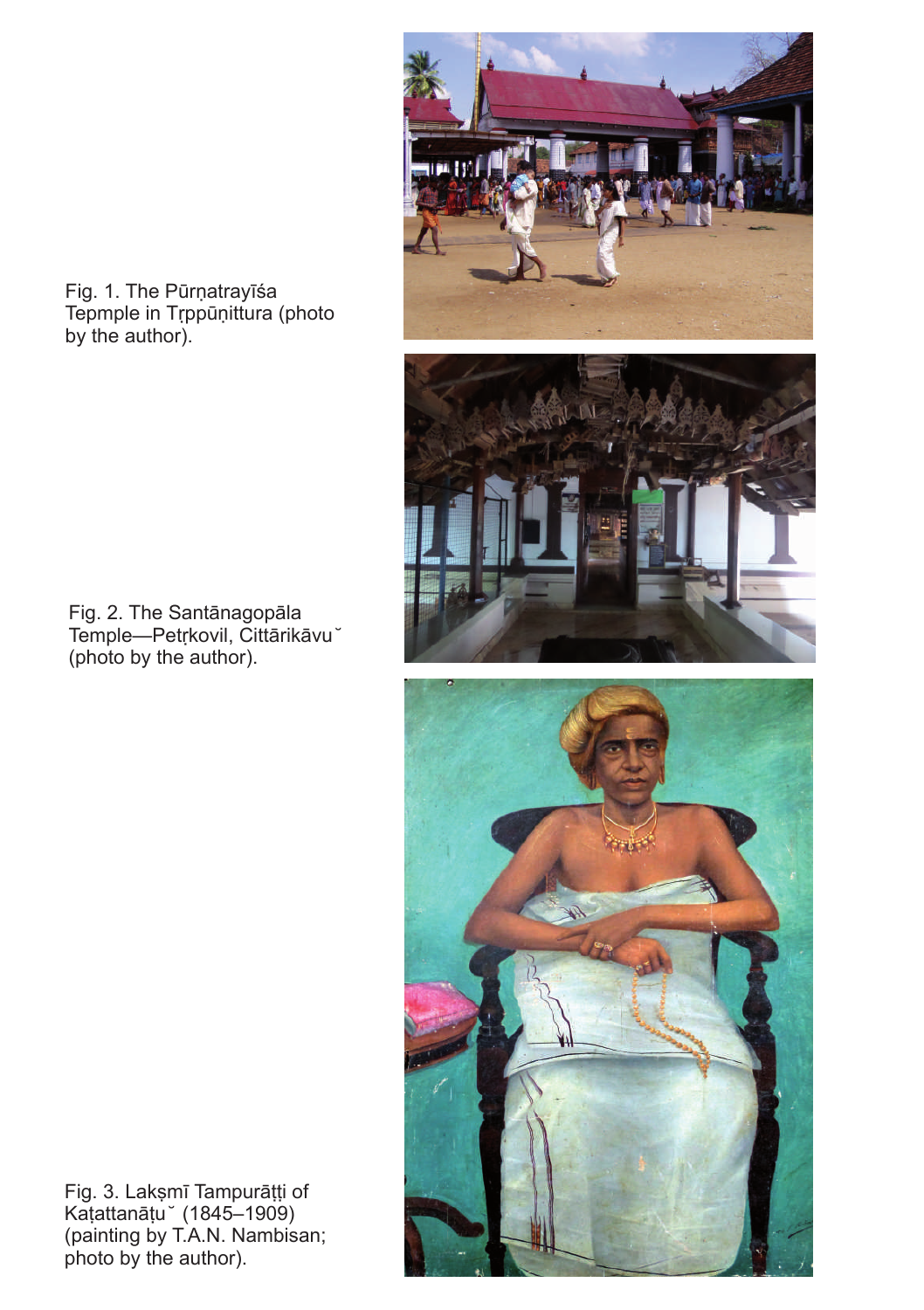

Fig. 1. The Pūrṇatrayīśa Tepmple in Tṛppūṇittura (photo by the author).



Fig. 2. The Santānagopāla Temple—Petṛkovil, Cittārikāvu ̆ (photo by the author).



Fig. 3. Lakṣmī Tampurāṭṭi of Kaṭattanāṭu ̆ (1845–1909) (painting by T.A.N. Nambisan; photo by the author).